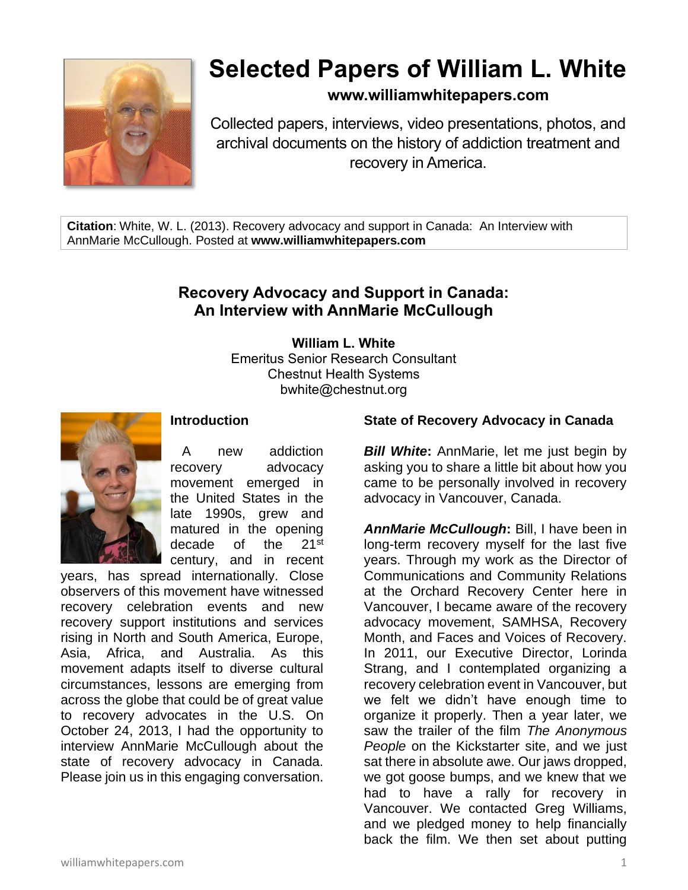

# **Selected Papers of William L. White**

**www.williamwhitepapers.com**

Collected papers, interviews, video presentations, photos, and archival documents on the history of addiction treatment and recovery in America.

**Citation**: White, W. L. (2013). Recovery advocacy and support in Canada: An Interview with AnnMarie McCullough. Posted at **www.williamwhitepapers.com**

# **Recovery Advocacy and Support in Canada: An Interview with AnnMarie McCullough**

**William L. White** Emeritus Senior Research Consultant Chestnut Health Systems bwhite@chestnut.org



#### **Introduction**

A new addiction recovery advocacy movement emerged in the United States in the late 1990s, grew and matured in the opening decade of the 21<sup>st</sup> century, and in recent

years, has spread internationally. Close observers of this movement have witnessed recovery celebration events and new recovery support institutions and services rising in North and South America, Europe, Asia, Africa, and Australia. As this movement adapts itself to diverse cultural circumstances, lessons are emerging from across the globe that could be of great value to recovery advocates in the U.S. On October 24, 2013, I had the opportunity to interview AnnMarie McCullough about the state of recovery advocacy in Canada. Please join us in this engaging conversation.

### **State of Recovery Advocacy in Canada**

*Bill White***:** AnnMarie, let me just begin by asking you to share a little bit about how you came to be personally involved in recovery advocacy in Vancouver, Canada.

*AnnMarie McCullough***:** Bill, I have been in long-term recovery myself for the last five years. Through my work as the Director of Communications and Community Relations at the Orchard Recovery Center here in Vancouver, I became aware of the recovery advocacy movement, SAMHSA, Recovery Month, and Faces and Voices of Recovery. In 2011, our Executive Director, Lorinda Strang, and I contemplated organizing a recovery celebration event in Vancouver, but we felt we didn't have enough time to organize it properly. Then a year later, we saw the trailer of the film *The Anonymous People* on the Kickstarter site, and we just sat there in absolute awe. Our jaws dropped, we got goose bumps, and we knew that we had to have a rally for recovery in Vancouver. We contacted Greg Williams, and we pledged money to help financially back the film. We then set about putting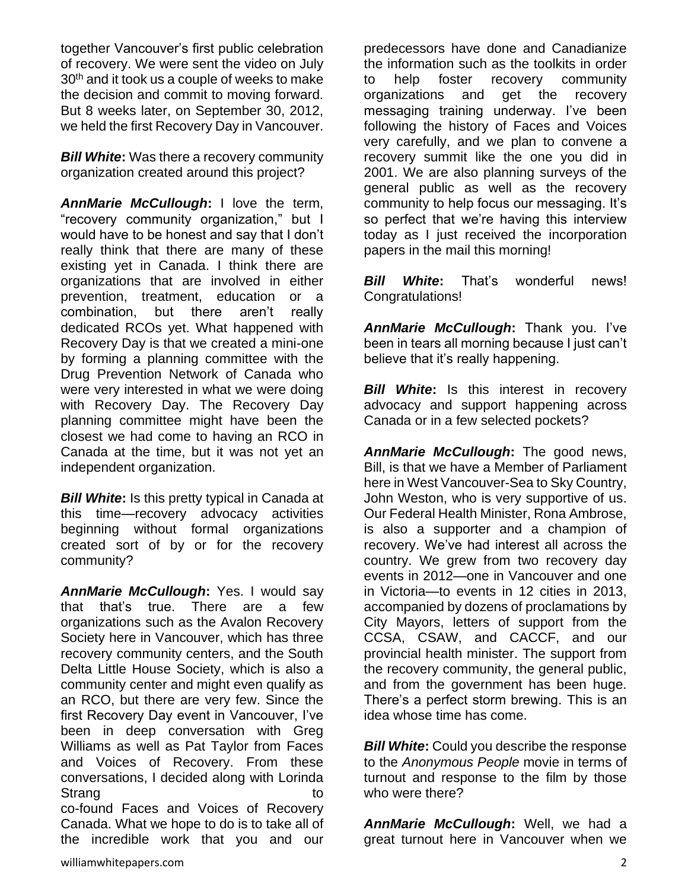together Vancouver's first public celebration of recovery. We were sent the video on July 30<sup>th</sup> and it took us a couple of weeks to make the decision and commit to moving forward. But 8 weeks later, on September 30, 2012, we held the first Recovery Day in Vancouver.

*Bill White***:** Was there a recovery community organization created around this project?

*AnnMarie McCullough***:** I love the term, "recovery community organization," but I would have to be honest and say that I don't really think that there are many of these existing yet in Canada. I think there are organizations that are involved in either prevention, treatment, education or a combination, but there aren't really dedicated RCOs yet. What happened with Recovery Day is that we created a mini-one by forming a planning committee with the Drug Prevention Network of Canada who were very interested in what we were doing with Recovery Day. The Recovery Day planning committee might have been the closest we had come to having an RCO in Canada at the time, but it was not yet an independent organization.

*Bill White***:** Is this pretty typical in Canada at this time—recovery advocacy activities beginning without formal organizations created sort of by or for the recovery community?

*AnnMarie McCullough***:** Yes. I would say that that's true. There are a few organizations such as the Avalon Recovery Society here in Vancouver, which has three recovery community centers, and the South Delta Little House Society, which is also a community center and might even qualify as an RCO, but there are very few. Since the first Recovery Day event in Vancouver, I've been in deep conversation with Greg Williams as well as Pat Taylor from Faces and Voices of Recovery. From these conversations, I decided along with Lorinda Strang to the strange of the strange of the strange of the strange of the strange of the strange of the strange co-found Faces and Voices of Recovery Canada. What we hope to do is to take all of

the incredible work that you and our

predecessors have done and Canadianize the information such as the toolkits in order to help foster recovery community organizations and get the recovery messaging training underway. I've been following the history of Faces and Voices very carefully, and we plan to convene a recovery summit like the one you did in 2001. We are also planning surveys of the general public as well as the recovery community to help focus our messaging. It's so perfect that we're having this interview today as I just received the incorporation papers in the mail this morning!

*Bill White***:** That's wonderful news! Congratulations!

*AnnMarie McCullough***:** Thank you. I've been in tears all morning because I just can't believe that it's really happening.

**Bill White:** Is this interest in recovery advocacy and support happening across Canada or in a few selected pockets?

*AnnMarie McCullough***:** The good news, Bill, is that we have a Member of Parliament here in West Vancouver-Sea to Sky Country, John Weston, who is very supportive of us. Our Federal Health Minister, Rona Ambrose, is also a supporter and a champion of recovery. We've had interest all across the country. We grew from two recovery day events in 2012—one in Vancouver and one in Victoria—to events in 12 cities in 2013, accompanied by dozens of proclamations by City Mayors, letters of support from the CCSA, CSAW, and CACCF, and our provincial health minister. The support from the recovery community, the general public, and from the government has been huge. There's a perfect storm brewing. This is an idea whose time has come.

*Bill White:* Could you describe the response to the *Anonymous People* movie in terms of turnout and response to the film by those who were there?

*AnnMarie McCullough***:** Well, we had a great turnout here in Vancouver when we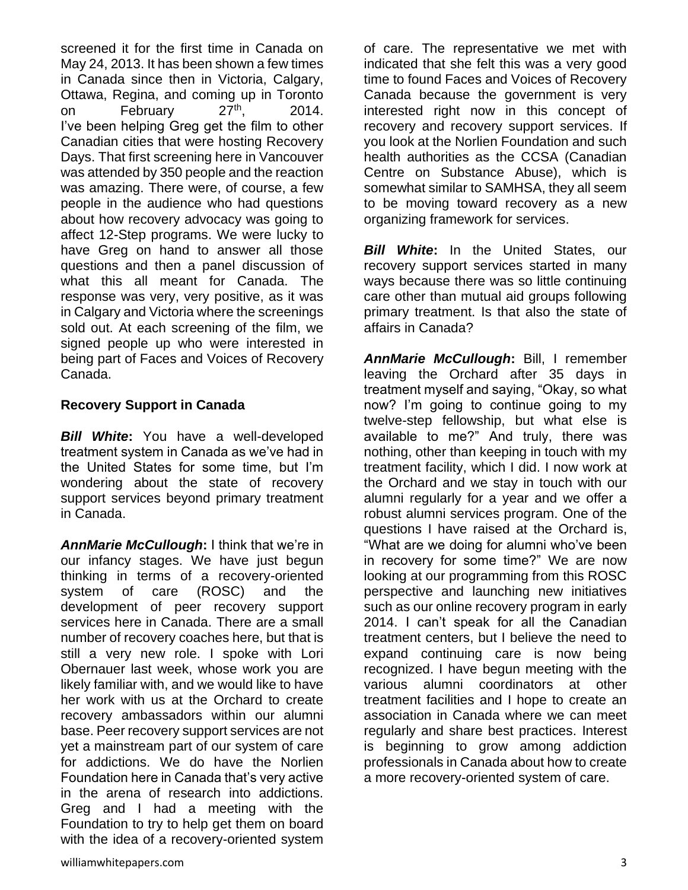screened it for the first time in Canada on May 24, 2013. It has been shown a few times in Canada since then in Victoria, Calgary, Ottawa, Regina, and coming up in Toronto on February 27<sup>th</sup>, 2014. I've been helping Greg get the film to other Canadian cities that were hosting Recovery Days. That first screening here in Vancouver was attended by 350 people and the reaction was amazing. There were, of course, a few people in the audience who had questions about how recovery advocacy was going to affect 12-Step programs. We were lucky to have Greg on hand to answer all those questions and then a panel discussion of what this all meant for Canada. The response was very, very positive, as it was in Calgary and Victoria where the screenings sold out. At each screening of the film, we signed people up who were interested in being part of Faces and Voices of Recovery Canada.

### **Recovery Support in Canada**

*Bill White***:** You have a well-developed treatment system in Canada as we've had in the United States for some time, but I'm wondering about the state of recovery support services beyond primary treatment in Canada.

*AnnMarie McCullough***:** I think that we're in our infancy stages. We have just begun thinking in terms of a recovery-oriented system of care (ROSC) and the development of peer recovery support services here in Canada. There are a small number of recovery coaches here, but that is still a very new role. I spoke with Lori Obernauer last week, whose work you are likely familiar with, and we would like to have her work with us at the Orchard to create recovery ambassadors within our alumni base. Peer recovery support services are not yet a mainstream part of our system of care for addictions. We do have the Norlien Foundation here in Canada that's very active in the arena of research into addictions. Greg and I had a meeting with the Foundation to try to help get them on board with the idea of a recovery-oriented system

of care. The representative we met with indicated that she felt this was a very good time to found Faces and Voices of Recovery Canada because the government is very interested right now in this concept of recovery and recovery support services. If you look at the Norlien Foundation and such health authorities as the CCSA (Canadian Centre on Substance Abuse), which is somewhat similar to SAMHSA, they all seem to be moving toward recovery as a new organizing framework for services.

*Bill White***:** In the United States, our recovery support services started in many ways because there was so little continuing care other than mutual aid groups following primary treatment. Is that also the state of affairs in Canada?

*AnnMarie McCullough***:** Bill, I remember leaving the Orchard after 35 days in treatment myself and saying, "Okay, so what now? I'm going to continue going to my twelve-step fellowship, but what else is available to me?" And truly, there was nothing, other than keeping in touch with my treatment facility, which I did. I now work at the Orchard and we stay in touch with our alumni regularly for a year and we offer a robust alumni services program. One of the questions I have raised at the Orchard is, "What are we doing for alumni who've been in recovery for some time?" We are now looking at our programming from this ROSC perspective and launching new initiatives such as our online recovery program in early 2014. I can't speak for all the Canadian treatment centers, but I believe the need to expand continuing care is now being recognized. I have begun meeting with the various alumni coordinators at other treatment facilities and I hope to create an association in Canada where we can meet regularly and share best practices. Interest is beginning to grow among addiction professionals in Canada about how to create a more recovery-oriented system of care.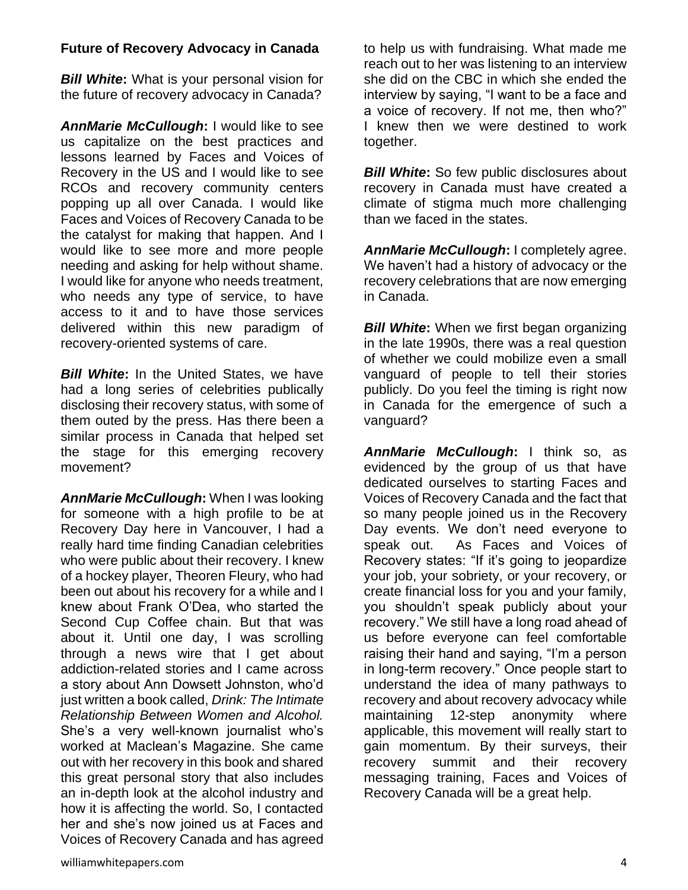## **Future of Recovery Advocacy in Canada**

*Bill White***:** What is your personal vision for the future of recovery advocacy in Canada?

*AnnMarie McCullough***:** I would like to see us capitalize on the best practices and lessons learned by Faces and Voices of Recovery in the US and I would like to see RCOs and recovery community centers popping up all over Canada. I would like Faces and Voices of Recovery Canada to be the catalyst for making that happen. And I would like to see more and more people needing and asking for help without shame. I would like for anyone who needs treatment, who needs any type of service, to have access to it and to have those services delivered within this new paradigm of recovery-oriented systems of care.

*Bill White***:** In the United States, we have had a long series of celebrities publically disclosing their recovery status, with some of them outed by the press. Has there been a similar process in Canada that helped set the stage for this emerging recovery movement?

*AnnMarie McCullough***:** When I was looking for someone with a high profile to be at Recovery Day here in Vancouver, I had a really hard time finding Canadian celebrities who were public about their recovery. I knew of a hockey player, Theoren Fleury, who had been out about his recovery for a while and I knew about Frank O'Dea, who started the Second Cup Coffee chain. But that was about it. Until one day, I was scrolling through a news wire that I get about addiction-related stories and I came across a story about Ann Dowsett Johnston, who'd just written a book called, *Drink: The Intimate Relationship Between Women and Alcohol.*  She's a very well-known journalist who's worked at Maclean's Magazine. She came out with her recovery in this book and shared this great personal story that also includes an in-depth look at the alcohol industry and how it is affecting the world. So, I contacted her and she's now joined us at Faces and Voices of Recovery Canada and has agreed

to help us with fundraising. What made me reach out to her was listening to an interview she did on the CBC in which she ended the interview by saying, "I want to be a face and a voice of recovery. If not me, then who?" I knew then we were destined to work together.

*Bill White***:** So few public disclosures about recovery in Canada must have created a climate of stigma much more challenging than we faced in the states.

*AnnMarie McCullough***:** I completely agree. We haven't had a history of advocacy or the recovery celebrations that are now emerging in Canada.

*Bill White***:** When we first began organizing in the late 1990s, there was a real question of whether we could mobilize even a small vanguard of people to tell their stories publicly. Do you feel the timing is right now in Canada for the emergence of such a vanguard?

*AnnMarie McCullough***:** I think so, as evidenced by the group of us that have dedicated ourselves to starting Faces and Voices of Recovery Canada and the fact that so many people joined us in the Recovery Day events. We don't need everyone to speak out. As Faces and Voices of Recovery states: "If it's going to jeopardize your job, your sobriety, or your recovery, or create financial loss for you and your family, you shouldn't speak publicly about your recovery." We still have a long road ahead of us before everyone can feel comfortable raising their hand and saying, "I'm a person in long-term recovery." Once people start to understand the idea of many pathways to recovery and about recovery advocacy while maintaining 12-step anonymity where applicable, this movement will really start to gain momentum. By their surveys, their recovery summit and their recovery messaging training, Faces and Voices of Recovery Canada will be a great help.